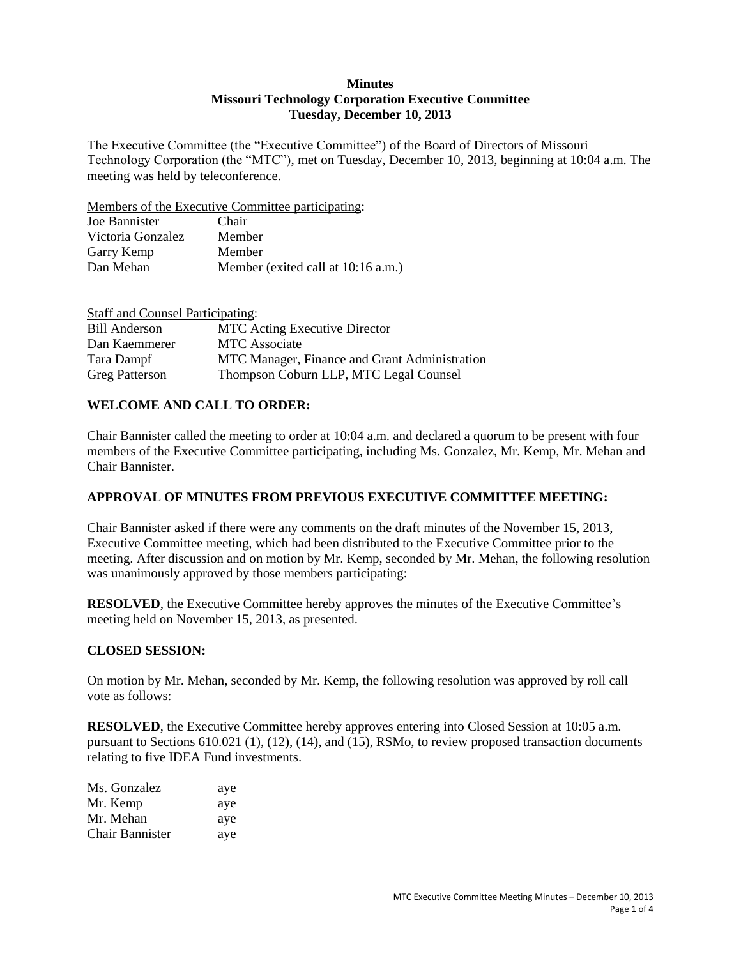#### **Minutes Missouri Technology Corporation Executive Committee Tuesday, December 10, 2013**

The Executive Committee (the "Executive Committee") of the Board of Directors of Missouri Technology Corporation (the "MTC"), met on Tuesday, December 10, 2013, beginning at 10:04 a.m. The meeting was held by teleconference.

Members of the Executive Committee participating:

| Joe Bannister     | Chair                              |
|-------------------|------------------------------------|
| Victoria Gonzalez | Member                             |
| Garry Kemp        | Member                             |
| Dan Mehan         | Member (exited call at 10:16 a.m.) |

| <b>Staff and Counsel Participating:</b> |                                               |
|-----------------------------------------|-----------------------------------------------|
| <b>Bill Anderson</b>                    | <b>MTC</b> Acting Executive Director          |
| Dan Kaemmerer                           | <b>MTC</b> Associate                          |
| Tara Dampf                              | MTC Manager, Finance and Grant Administration |
| <b>Greg Patterson</b>                   | Thompson Coburn LLP, MTC Legal Counsel        |

# **WELCOME AND CALL TO ORDER:**

Chair Bannister called the meeting to order at 10:04 a.m. and declared a quorum to be present with four members of the Executive Committee participating, including Ms. Gonzalez, Mr. Kemp, Mr. Mehan and Chair Bannister.

### **APPROVAL OF MINUTES FROM PREVIOUS EXECUTIVE COMMITTEE MEETING:**

Chair Bannister asked if there were any comments on the draft minutes of the November 15, 2013, Executive Committee meeting, which had been distributed to the Executive Committee prior to the meeting. After discussion and on motion by Mr. Kemp, seconded by Mr. Mehan, the following resolution was unanimously approved by those members participating:

**RESOLVED**, the Executive Committee hereby approves the minutes of the Executive Committee's meeting held on November 15, 2013, as presented.

### **CLOSED SESSION:**

On motion by Mr. Mehan, seconded by Mr. Kemp, the following resolution was approved by roll call vote as follows:

**RESOLVED**, the Executive Committee hereby approves entering into Closed Session at 10:05 a.m. pursuant to Sections 610.021 (1), (12), (14), and (15), RSMo, to review proposed transaction documents relating to five IDEA Fund investments.

| Ms. Gonzalez           | aye |
|------------------------|-----|
| Mr. Kemp               | aye |
| Mr. Mehan              | aye |
| <b>Chair Bannister</b> | aye |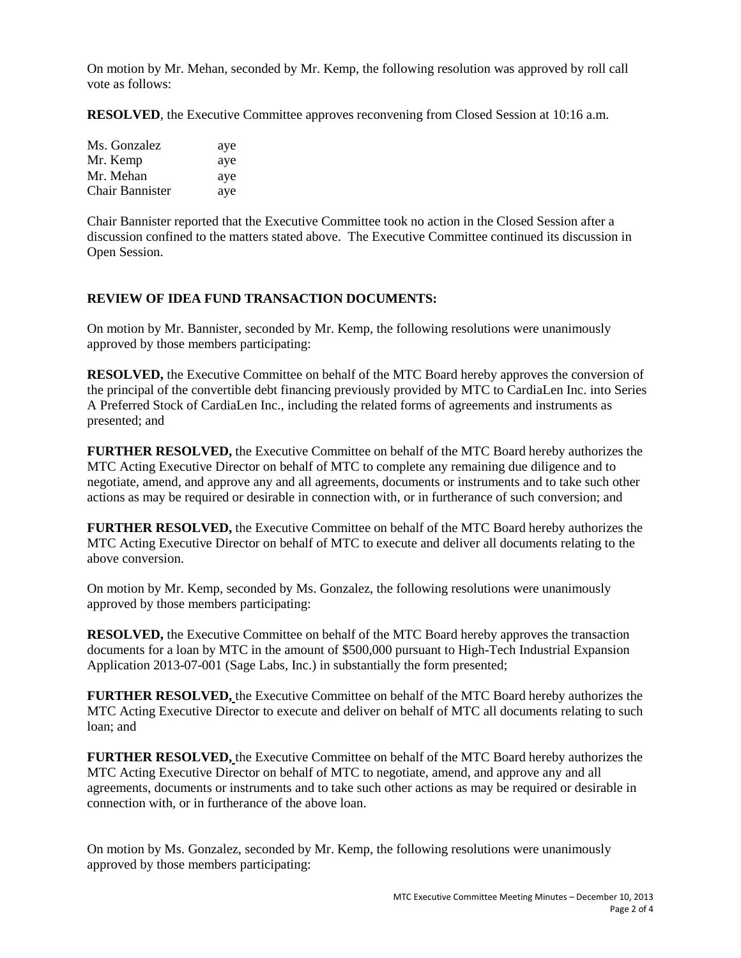On motion by Mr. Mehan, seconded by Mr. Kemp, the following resolution was approved by roll call vote as follows:

**RESOLVED**, the Executive Committee approves reconvening from Closed Session at 10:16 a.m.

| Ms. Gonzalez           | aye |
|------------------------|-----|
| Mr. Kemp               | aye |
| Mr. Mehan              | aye |
| <b>Chair Bannister</b> | aye |

Chair Bannister reported that the Executive Committee took no action in the Closed Session after a discussion confined to the matters stated above. The Executive Committee continued its discussion in Open Session.

### **REVIEW OF IDEA FUND TRANSACTION DOCUMENTS:**

On motion by Mr. Bannister, seconded by Mr. Kemp, the following resolutions were unanimously approved by those members participating:

**RESOLVED,** the Executive Committee on behalf of the MTC Board hereby approves the conversion of the principal of the convertible debt financing previously provided by MTC to CardiaLen Inc. into Series A Preferred Stock of CardiaLen Inc., including the related forms of agreements and instruments as presented; and

**FURTHER RESOLVED,** the Executive Committee on behalf of the MTC Board hereby authorizes the MTC Acting Executive Director on behalf of MTC to complete any remaining due diligence and to negotiate, amend, and approve any and all agreements, documents or instruments and to take such other actions as may be required or desirable in connection with, or in furtherance of such conversion; and

**FURTHER RESOLVED,** the Executive Committee on behalf of the MTC Board hereby authorizes the MTC Acting Executive Director on behalf of MTC to execute and deliver all documents relating to the above conversion.

On motion by Mr. Kemp, seconded by Ms. Gonzalez, the following resolutions were unanimously approved by those members participating:

**RESOLVED,** the Executive Committee on behalf of the MTC Board hereby approves the transaction documents for a loan by MTC in the amount of \$500,000 pursuant to High-Tech Industrial Expansion Application 2013-07-001 (Sage Labs, Inc.) in substantially the form presented;

**FURTHER RESOLVED,** the Executive Committee on behalf of the MTC Board hereby authorizes the MTC Acting Executive Director to execute and deliver on behalf of MTC all documents relating to such loan; and

**FURTHER RESOLVED,** the Executive Committee on behalf of the MTC Board hereby authorizes the MTC Acting Executive Director on behalf of MTC to negotiate, amend, and approve any and all agreements, documents or instruments and to take such other actions as may be required or desirable in connection with, or in furtherance of the above loan.

On motion by Ms. Gonzalez, seconded by Mr. Kemp, the following resolutions were unanimously approved by those members participating: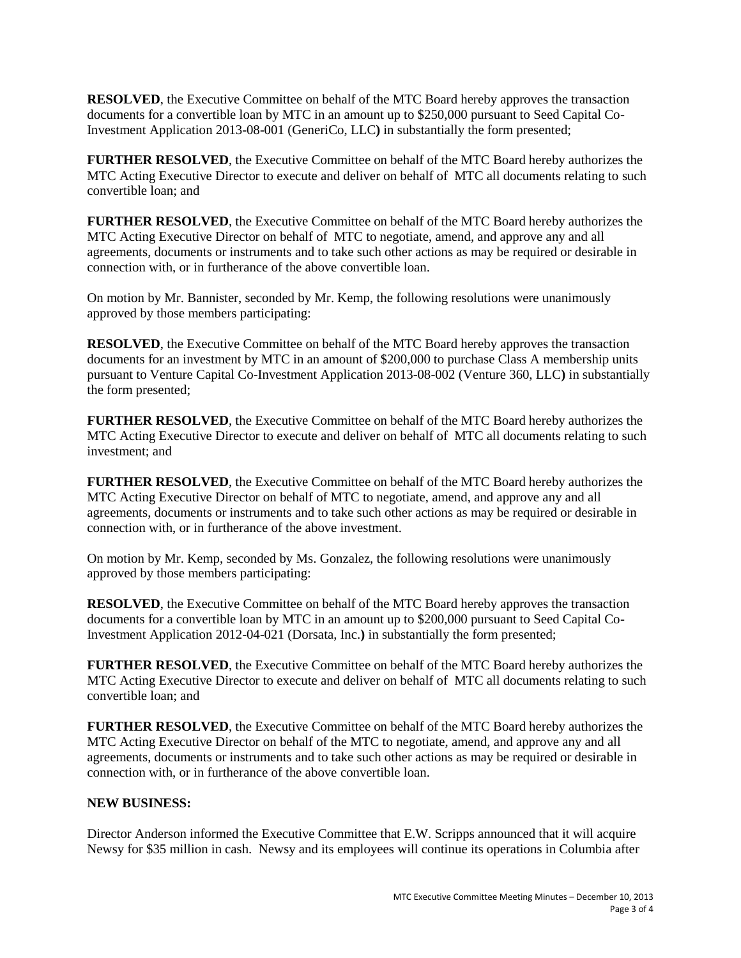**RESOLVED**, the Executive Committee on behalf of the MTC Board hereby approves the transaction documents for a convertible loan by MTC in an amount up to \$250,000 pursuant to Seed Capital Co-Investment Application 2013-08-001 (GeneriCo, LLC**)** in substantially the form presented;

**FURTHER RESOLVED**, the Executive Committee on behalf of the MTC Board hereby authorizes the MTC Acting Executive Director to execute and deliver on behalf of MTC all documents relating to such convertible loan; and

**FURTHER RESOLVED**, the Executive Committee on behalf of the MTC Board hereby authorizes the MTC Acting Executive Director on behalf of MTC to negotiate, amend, and approve any and all agreements, documents or instruments and to take such other actions as may be required or desirable in connection with, or in furtherance of the above convertible loan.

On motion by Mr. Bannister, seconded by Mr. Kemp, the following resolutions were unanimously approved by those members participating:

**RESOLVED**, the Executive Committee on behalf of the MTC Board hereby approves the transaction documents for an investment by MTC in an amount of \$200,000 to purchase Class A membership units pursuant to Venture Capital Co-Investment Application 2013-08-002 (Venture 360, LLC**)** in substantially the form presented;

**FURTHER RESOLVED**, the Executive Committee on behalf of the MTC Board hereby authorizes the MTC Acting Executive Director to execute and deliver on behalf of MTC all documents relating to such investment; and

**FURTHER RESOLVED**, the Executive Committee on behalf of the MTC Board hereby authorizes the MTC Acting Executive Director on behalf of MTC to negotiate, amend, and approve any and all agreements, documents or instruments and to take such other actions as may be required or desirable in connection with, or in furtherance of the above investment.

On motion by Mr. Kemp, seconded by Ms. Gonzalez, the following resolutions were unanimously approved by those members participating:

**RESOLVED**, the Executive Committee on behalf of the MTC Board hereby approves the transaction documents for a convertible loan by MTC in an amount up to \$200,000 pursuant to Seed Capital Co-Investment Application 2012-04-021 (Dorsata, Inc.**)** in substantially the form presented;

**FURTHER RESOLVED**, the Executive Committee on behalf of the MTC Board hereby authorizes the MTC Acting Executive Director to execute and deliver on behalf of MTC all documents relating to such convertible loan; and

**FURTHER RESOLVED**, the Executive Committee on behalf of the MTC Board hereby authorizes the MTC Acting Executive Director on behalf of the MTC to negotiate, amend, and approve any and all agreements, documents or instruments and to take such other actions as may be required or desirable in connection with, or in furtherance of the above convertible loan.

#### **NEW BUSINESS:**

Director Anderson informed the Executive Committee that E.W. Scripps announced that it will acquire Newsy for \$35 million in cash. Newsy and its employees will continue its operations in Columbia after